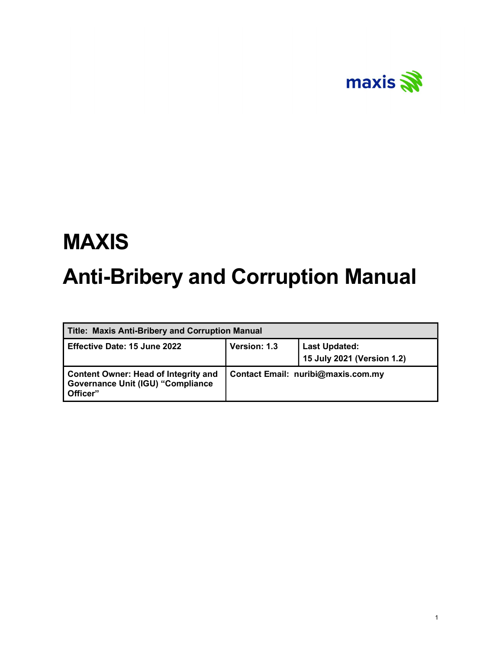

# MAXIS Anti-Bribery and Corruption Manual

| Title: Maxis Anti-Bribery and Corruption Manual                                                     |              |                                                    |
|-----------------------------------------------------------------------------------------------------|--------------|----------------------------------------------------|
| <b>Effective Date: 15 June 2022</b>                                                                 | Version: 1.3 | <b>Last Updated:</b><br>15 July 2021 (Version 1.2) |
| <b>Content Owner: Head of Integrity and</b><br><b>Governance Unit (IGU) "Compliance</b><br>Officer" |              | Contact Email: nuribi@maxis.com.my                 |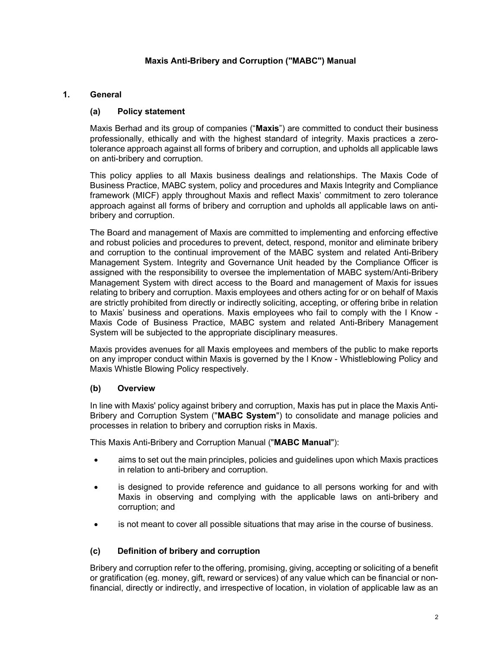## Maxis Anti-Bribery and Corruption ("MABC") Manual

## 1. General

## (a) Policy statement

Maxis Berhad and its group of companies ("Maxis") are committed to conduct their business professionally, ethically and with the highest standard of integrity. Maxis practices a zerotolerance approach against all forms of bribery and corruption, and upholds all applicable laws on anti-bribery and corruption.

This policy applies to all Maxis business dealings and relationships. The Maxis Code of Business Practice, MABC system, policy and procedures and Maxis Integrity and Compliance framework (MICF) apply throughout Maxis and reflect Maxis' commitment to zero tolerance approach against all forms of bribery and corruption and upholds all applicable laws on antibribery and corruption.

The Board and management of Maxis are committed to implementing and enforcing effective and robust policies and procedures to prevent, detect, respond, monitor and eliminate bribery and corruption to the continual improvement of the MABC system and related Anti-Bribery Management System. Integrity and Governance Unit headed by the Compliance Officer is assigned with the responsibility to oversee the implementation of MABC system/Anti-Bribery Management System with direct access to the Board and management of Maxis for issues relating to bribery and corruption. Maxis employees and others acting for or on behalf of Maxis are strictly prohibited from directly or indirectly soliciting, accepting, or offering bribe in relation to Maxis' business and operations. Maxis employees who fail to comply with the I Know - Maxis Code of Business Practice, MABC system and related Anti-Bribery Management System will be subjected to the appropriate disciplinary measures.

Maxis provides avenues for all Maxis employees and members of the public to make reports on any improper conduct within Maxis is governed by the I Know - Whistleblowing Policy and Maxis Whistle Blowing Policy respectively.

### (b) Overview

In line with Maxis' policy against bribery and corruption, Maxis has put in place the Maxis Anti-Bribery and Corruption System ("MABC System") to consolidate and manage policies and processes in relation to bribery and corruption risks in Maxis.

This Maxis Anti-Bribery and Corruption Manual ("MABC Manual"):

- aims to set out the main principles, policies and guidelines upon which Maxis practices in relation to anti-bribery and corruption.
- is designed to provide reference and guidance to all persons working for and with Maxis in observing and complying with the applicable laws on anti-bribery and corruption; and
- is not meant to cover all possible situations that may arise in the course of business.

### (c) Definition of bribery and corruption

Bribery and corruption refer to the offering, promising, giving, accepting or soliciting of a benefit or gratification (eg. money, gift, reward or services) of any value which can be financial or nonfinancial, directly or indirectly, and irrespective of location, in violation of applicable law as an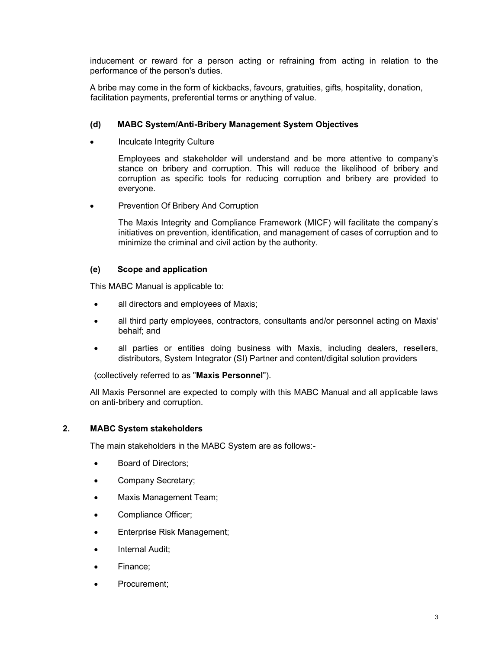inducement or reward for a person acting or refraining from acting in relation to the performance of the person's duties.

A bribe may come in the form of kickbacks, favours, gratuities, gifts, hospitality, donation, facilitation payments, preferential terms or anything of value.

### (d) MABC System/Anti-Bribery Management System Objectives

Inculcate Integrity Culture

Employees and stakeholder will understand and be more attentive to company's stance on bribery and corruption. This will reduce the likelihood of bribery and corruption as specific tools for reducing corruption and bribery are provided to everyone.

Prevention Of Bribery And Corruption

The Maxis Integrity and Compliance Framework (MICF) will facilitate the company's initiatives on prevention, identification, and management of cases of corruption and to minimize the criminal and civil action by the authority.

#### (e) Scope and application

This MABC Manual is applicable to:

- all directors and employees of Maxis;
- all third party employees, contractors, consultants and/or personnel acting on Maxis' behalf; and
- all parties or entities doing business with Maxis, including dealers, resellers, distributors, System Integrator (SI) Partner and content/digital solution providers

(collectively referred to as "Maxis Personnel").

 All Maxis Personnel are expected to comply with this MABC Manual and all applicable laws on anti-bribery and corruption.

#### 2. MABC System stakeholders

The main stakeholders in the MABC System are as follows:-

- Board of Directors;
- Company Secretary;
- Maxis Management Team;
- Compliance Officer;
- Enterprise Risk Management;
- Internal Audit;
- Finance;
- Procurement;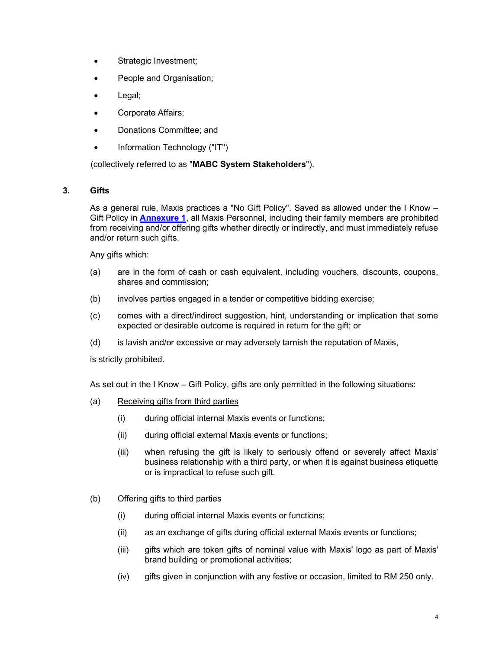- Strategic Investment;
- People and Organisation;
- Legal;
- Corporate Affairs;
- Donations Committee; and
- Information Technology ("IT")

(collectively referred to as "MABC System Stakeholders").

### 3. Gifts

As a general rule, Maxis practices a "No Gift Policy". Saved as allowed under the I Know – Gift Policy in **Annexure 1**, all Maxis Personnel, including their family members are prohibited from receiving and/or offering gifts whether directly or indirectly, and must immediately refuse and/or return such gifts.

Any gifts which:

- (a) are in the form of cash or cash equivalent, including vouchers, discounts, coupons, shares and commission;
- (b) involves parties engaged in a tender or competitive bidding exercise;
- (c) comes with a direct/indirect suggestion, hint, understanding or implication that some expected or desirable outcome is required in return for the gift; or
- (d) is lavish and/or excessive or may adversely tarnish the reputation of Maxis,

is strictly prohibited.

As set out in the I Know – Gift Policy, gifts are only permitted in the following situations:

- (a) Receiving gifts from third parties
	- (i) during official internal Maxis events or functions;
	- (ii) during official external Maxis events or functions;
	- (iii) when refusing the gift is likely to seriously offend or severely affect Maxis' business relationship with a third party, or when it is against business etiquette or is impractical to refuse such gift.

### (b) Offering gifts to third parties

- (i) during official internal Maxis events or functions;
- (ii) as an exchange of gifts during official external Maxis events or functions;
- (iii) gifts which are token gifts of nominal value with Maxis' logo as part of Maxis' brand building or promotional activities;
- (iv) gifts given in conjunction with any festive or occasion, limited to RM 250 only.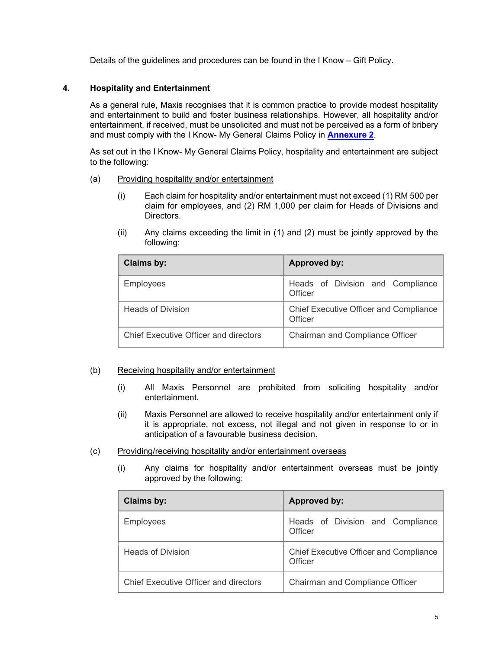Details of the guidelines and procedures can be found in the I Know – Gift Policy.

### 4. Hospitality and Entertainment

As a general rule, Maxis recognises that it is common practice to provide modest hospitality and entertainment to build and foster business relationships. However, all hospitality and/or entertainment, if received, must be unsolicited and must not be perceived as a form of bribery and must comply with the I Know- My General Claims Policy in **Annexure 2**.

As set out in the I Know- My General Claims Policy, hospitality and entertainment are subject to the following:

#### (a) Providing hospitality and/or entertainment

- (i) Each claim for hospitality and/or entertainment must not exceed (1) RM 500 per claim for employees, and (2) RM 1,000 per claim for Heads of Divisions and Directors.
- (ii) Any claims exceeding the limit in (1) and (2) must be jointly approved by the following:

| <b>Claims by:</b>                     | <b>Approved by:</b>                                      |
|---------------------------------------|----------------------------------------------------------|
| <b>Employees</b>                      | Heads of Division and Compliance<br>Officer              |
| <b>Heads of Division</b>              | <b>Chief Executive Officer and Compliance</b><br>Officer |
| Chief Executive Officer and directors | Chairman and Compliance Officer                          |

#### (b) Receiving hospitality and/or entertainment

- (i) All Maxis Personnel are prohibited from soliciting hospitality and/or entertainment.
- (ii) Maxis Personnel are allowed to receive hospitality and/or entertainment only if it is appropriate, not excess, not illegal and not given in response to or in anticipation of a favourable business decision.
- (c) Providing/receiving hospitality and/or entertainment overseas
	- (i) Any claims for hospitality and/or entertainment overseas must be jointly approved by the following:

| Claims by:                            | <b>Approved by:</b>                               |
|---------------------------------------|---------------------------------------------------|
| <b>Employees</b>                      | Heads of Division and Compliance<br>Officer       |
| <b>Heads of Division</b>              | Chief Executive Officer and Compliance<br>Officer |
| Chief Executive Officer and directors | <b>Chairman and Compliance Officer</b>            |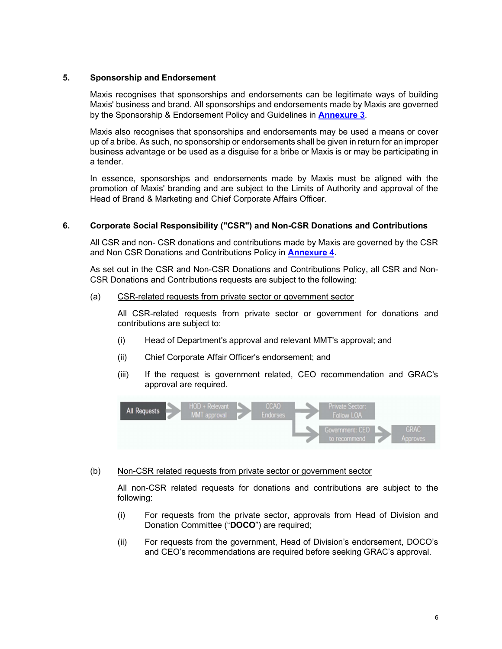#### 5. Sponsorship and Endorsement

Maxis recognises that sponsorships and endorsements can be legitimate ways of building Maxis' business and brand. All sponsorships and endorsements made by Maxis are governed by the Sponsorship & Endorsement Policy and Guidelines in **Annexure 3**.

Maxis also recognises that sponsorships and endorsements may be used a means or cover up of a bribe. As such, no sponsorship or endorsements shall be given in return for an improper business advantage or be used as a disguise for a bribe or Maxis is or may be participating in a tender.

In essence, sponsorships and endorsements made by Maxis must be aligned with the promotion of Maxis' branding and are subject to the Limits of Authority and approval of the Head of Brand & Marketing and Chief Corporate Affairs Officer.

### 6. Corporate Social Responsibility ("CSR") and Non-CSR Donations and Contributions

All CSR and non- CSR donations and contributions made by Maxis are governed by the CSR and Non CSR Donations and Contributions Policy in **Annexure 4**.

As set out in the CSR and Non-CSR Donations and Contributions Policy, all CSR and Non-CSR Donations and Contributions requests are subject to the following:

#### (a) CSR-related requests from private sector or government sector

All CSR-related requests from private sector or government for donations and contributions are subject to:

- (i) Head of Department's approval and relevant MMT's approval; and
- (ii) Chief Corporate Affair Officer's endorsement; and
- (iii) If the request is government related, CEO recommendation and GRAC's approval are required.



#### (b) Non-CSR related requests from private sector or government sector

All non-CSR related requests for donations and contributions are subject to the following:

- (i) For requests from the private sector, approvals from Head of Division and Donation Committee ("DOCO") are required;
- (ii) For requests from the government, Head of Division's endorsement, DOCO's and CEO's recommendations are required before seeking GRAC's approval.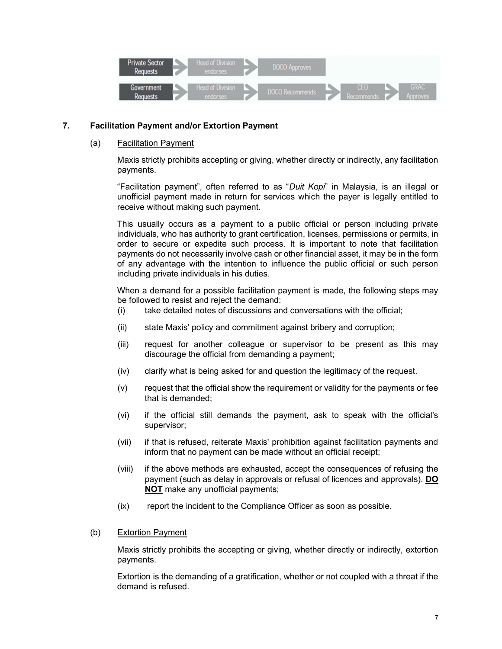

## 7. Facilitation Payment and/or Extortion Payment

### (a) Facilitation Payment

Maxis strictly prohibits accepting or giving, whether directly or indirectly, any facilitation payments.

"Facilitation payment", often referred to as "Duit Kopi" in Malaysia, is an illegal or unofficial payment made in return for services which the payer is legally entitled to receive without making such payment.

This usually occurs as a payment to a public official or person including private individuals, who has authority to grant certification, licenses, permissions or permits, in order to secure or expedite such process. It is important to note that facilitation payments do not necessarily involve cash or other financial asset, it may be in the form of any advantage with the intention to influence the public official or such person including private individuals in his duties.

When a demand for a possible facilitation payment is made, the following steps may be followed to resist and reject the demand:

- (i) take detailed notes of discussions and conversations with the official;
- (ii) state Maxis' policy and commitment against bribery and corruption;
- (iii) request for another colleague or supervisor to be present as this may discourage the official from demanding a payment;
- (iv) clarify what is being asked for and question the legitimacy of the request.
- (v) request that the official show the requirement or validity for the payments or fee that is demanded;
- (vi) if the official still demands the payment, ask to speak with the official's supervisor;
- (vii) if that is refused, reiterate Maxis' prohibition against facilitation payments and inform that no payment can be made without an official receipt;
- (viii) if the above methods are exhausted, accept the consequences of refusing the payment (such as delay in approvals or refusal of licences and approvals). DO NOT make any unofficial payments;
- (ix) report the incident to the Compliance Officer as soon as possible.
- (b) Extortion Payment

Maxis strictly prohibits the accepting or giving, whether directly or indirectly, extortion payments.

Extortion is the demanding of a gratification, whether or not coupled with a threat if the demand is refused.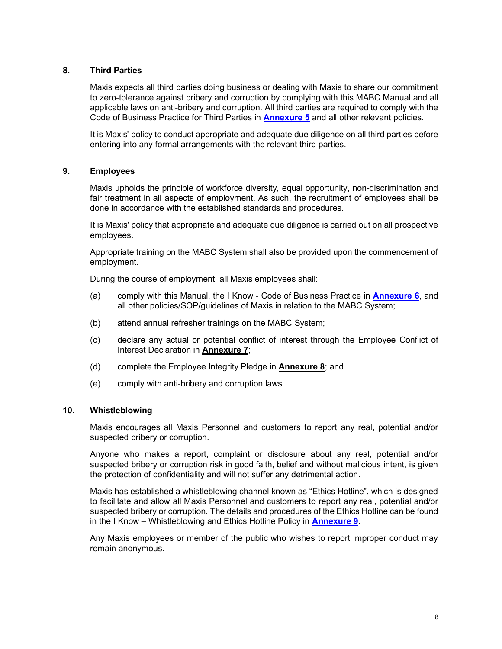## 8. Third Parties

Maxis expects all third parties doing business or dealing with Maxis to share our commitment to zero-tolerance against bribery and corruption by complying with this MABC Manual and all applicable laws on anti-bribery and corruption. All third parties are required to comply with the Code of Business Practice for Third Parties in **Annexure 5** and all other relevant policies.

It is Maxis' policy to conduct appropriate and adequate due diligence on all third parties before entering into any formal arrangements with the relevant third parties.

## 9. Employees

Maxis upholds the principle of workforce diversity, equal opportunity, non-discrimination and fair treatment in all aspects of employment. As such, the recruitment of employees shall be done in accordance with the established standards and procedures.

It is Maxis' policy that appropriate and adequate due diligence is carried out on all prospective employees.

Appropriate training on the MABC System shall also be provided upon the commencement of employment.

During the course of employment, all Maxis employees shall:

- (a) comply with this Manual, the I Know Code of Business Practice in **Annexure 6**, and all other policies/SOP/guidelines of Maxis in relation to the MABC System;
- (b) attend annual refresher trainings on the MABC System;
- (c) declare any actual or potential conflict of interest through the Employee Conflict of Interest Declaration in Annexure 7;
- (d) complete the Employee Integrity Pledge in Annexure 8; and
- (e) comply with anti-bribery and corruption laws.

#### 10. Whistleblowing

Maxis encourages all Maxis Personnel and customers to report any real, potential and/or suspected bribery or corruption.

Anyone who makes a report, complaint or disclosure about any real, potential and/or suspected bribery or corruption risk in good faith, belief and without malicious intent, is given the protection of confidentiality and will not suffer any detrimental action.

Maxis has established a whistleblowing channel known as "Ethics Hotline", which is designed to facilitate and allow all Maxis Personnel and customers to report any real, potential and/or suspected bribery or corruption. The details and procedures of the Ethics Hotline can be found in the I Know – Whistleblowing and Ethics Hotline Policy in **Annexure 9.** 

Any Maxis employees or member of the public who wishes to report improper conduct may remain anonymous.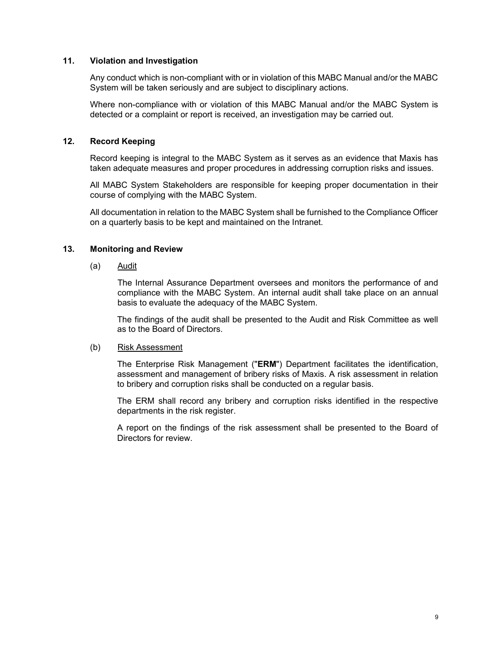#### 11. Violation and Investigation

Any conduct which is non-compliant with or in violation of this MABC Manual and/or the MABC System will be taken seriously and are subject to disciplinary actions.

Where non-compliance with or violation of this MABC Manual and/or the MABC System is detected or a complaint or report is received, an investigation may be carried out.

#### 12. Record Keeping

Record keeping is integral to the MABC System as it serves as an evidence that Maxis has taken adequate measures and proper procedures in addressing corruption risks and issues.

All MABC System Stakeholders are responsible for keeping proper documentation in their course of complying with the MABC System.

All documentation in relation to the MABC System shall be furnished to the Compliance Officer on a quarterly basis to be kept and maintained on the Intranet.

#### 13. Monitoring and Review

(a) Audit

The Internal Assurance Department oversees and monitors the performance of and compliance with the MABC System. An internal audit shall take place on an annual basis to evaluate the adequacy of the MABC System.

The findings of the audit shall be presented to the Audit and Risk Committee as well as to the Board of Directors.

#### (b) Risk Assessment

The Enterprise Risk Management ("ERM") Department facilitates the identification, assessment and management of bribery risks of Maxis. A risk assessment in relation to bribery and corruption risks shall be conducted on a regular basis.

The ERM shall record any bribery and corruption risks identified in the respective departments in the risk register.

A report on the findings of the risk assessment shall be presented to the Board of Directors for review.